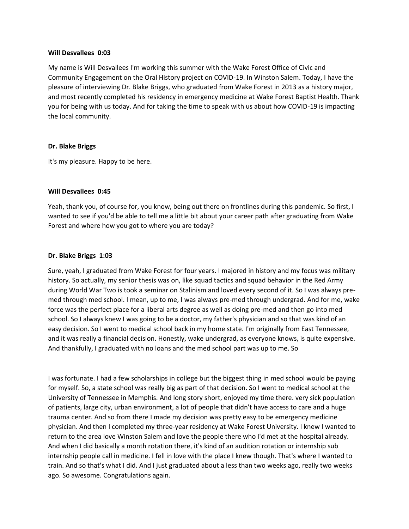#### **Will Desvallees 0:03**

My name is Will Desvallees I'm working this summer with the Wake Forest Office of Civic and Community Engagement on the Oral History project on COVID-19. In Winston Salem. Today, I have the pleasure of interviewing Dr. Blake Briggs, who graduated from Wake Forest in 2013 as a history major, and most recently completed his residency in emergency medicine at Wake Forest Baptist Health. Thank you for being with us today. And for taking the time to speak with us about how COVID-19 is impacting the local community.

### **Dr. Blake Briggs**

It's my pleasure. Happy to be here.

### **Will Desvallees 0:45**

Yeah, thank you, of course for, you know, being out there on frontlines during this pandemic. So first, I wanted to see if you'd be able to tell me a little bit about your career path after graduating from Wake Forest and where how you got to where you are today?

#### **Dr. Blake Briggs 1:03**

Sure, yeah, I graduated from Wake Forest for four years. I majored in history and my focus was military history. So actually, my senior thesis was on, like squad tactics and squad behavior in the Red Army during World War Two is took a seminar on Stalinism and loved every second of it. So I was always premed through med school. I mean, up to me, I was always pre-med through undergrad. And for me, wake force was the perfect place for a liberal arts degree as well as doing pre-med and then go into med school. So I always knew I was going to be a doctor, my father's physician and so that was kind of an easy decision. So I went to medical school back in my home state. I'm originally from East Tennessee, and it was really a financial decision. Honestly, wake undergrad, as everyone knows, is quite expensive. And thankfully, I graduated with no loans and the med school part was up to me. So

I was fortunate. I had a few scholarships in college but the biggest thing in med school would be paying for myself. So, a state school was really big as part of that decision. So I went to medical school at the University of Tennessee in Memphis. And long story short, enjoyed my time there. very sick population of patients, large city, urban environment, a lot of people that didn't have access to care and a huge trauma center. And so from there I made my decision was pretty easy to be emergency medicine physician. And then I completed my three-year residency at Wake Forest University. I knew I wanted to return to the area love Winston Salem and love the people there who I'd met at the hospital already. And when I did basically a month rotation there, it's kind of an audition rotation or internship sub internship people call in medicine. I fell in love with the place I knew though. That's where I wanted to train. And so that's what I did. And I just graduated about a less than two weeks ago, really two weeks ago. So awesome. Congratulations again.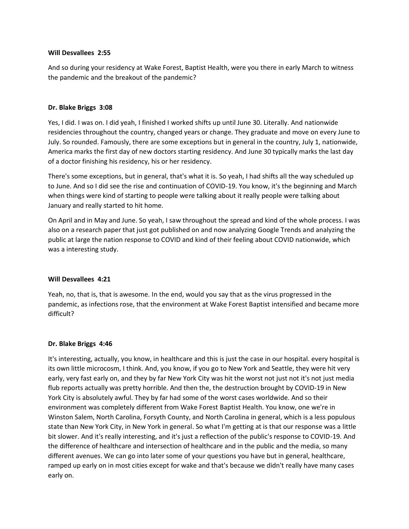## **Will Desvallees 2:55**

And so during your residency at Wake Forest, Baptist Health, were you there in early March to witness the pandemic and the breakout of the pandemic?

## **Dr. Blake Briggs 3:08**

Yes, I did. I was on. I did yeah, I finished I worked shifts up until June 30. Literally. And nationwide residencies throughout the country, changed years or change. They graduate and move on every June to July. So rounded. Famously, there are some exceptions but in general in the country, July 1, nationwide, America marks the first day of new doctors starting residency. And June 30 typically marks the last day of a doctor finishing his residency, his or her residency.

There's some exceptions, but in general, that's what it is. So yeah, I had shifts all the way scheduled up to June. And so I did see the rise and continuation of COVID-19. You know, it's the beginning and March when things were kind of starting to people were talking about it really people were talking about January and really started to hit home.

On April and in May and June. So yeah, I saw throughout the spread and kind of the whole process. I was also on a research paper that just got published on and now analyzing Google Trends and analyzing the public at large the nation response to COVID and kind of their feeling about COVID nationwide, which was a interesting study.

### **Will Desvallees 4:21**

Yeah, no, that is, that is awesome. In the end, would you say that as the virus progressed in the pandemic, as infections rose, that the environment at Wake Forest Baptist intensified and became more difficult?

### **Dr. Blake Briggs 4:46**

It's interesting, actually, you know, in healthcare and this is just the case in our hospital. every hospital is its own little microcosm, I think. And, you know, if you go to New York and Seattle, they were hit very early, very fast early on, and they by far New York City was hit the worst not just not it's not just media flub reports actually was pretty horrible. And then the, the destruction brought by COVID-19 in New York City is absolutely awful. They by far had some of the worst cases worldwide. And so their environment was completely different from Wake Forest Baptist Health. You know, one we're in Winston Salem, North Carolina, Forsyth County, and North Carolina in general, which is a less populous state than New York City, in New York in general. So what I'm getting at is that our response was a little bit slower. And it's really interesting, and it's just a reflection of the public's response to COVID-19. And the difference of healthcare and intersection of healthcare and in the public and the media, so many different avenues. We can go into later some of your questions you have but in general, healthcare, ramped up early on in most cities except for wake and that's because we didn't really have many cases early on.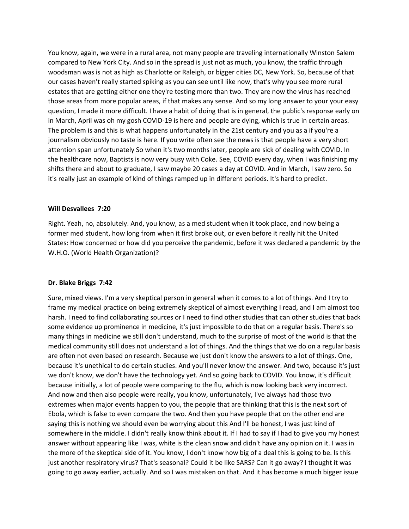You know, again, we were in a rural area, not many people are traveling internationally Winston Salem compared to New York City. And so in the spread is just not as much, you know, the traffic through woodsman was is not as high as Charlotte or Raleigh, or bigger cities DC, New York. So, because of that our cases haven't really started spiking as you can see until like now, that's why you see more rural estates that are getting either one they're testing more than two. They are now the virus has reached those areas from more popular areas, if that makes any sense. And so my long answer to your your easy question, I made it more difficult. I have a habit of doing that is in general, the public's response early on in March, April was oh my gosh COVID-19 is here and people are dying, which is true in certain areas. The problem is and this is what happens unfortunately in the 21st century and you as a if you're a journalism obviously no taste is here. If you write often see the news is that people have a very short attention span unfortunately So when it's two months later, people are sick of dealing with COVID. In the healthcare now, Baptists is now very busy with Coke. See, COVID every day, when I was finishing my shifts there and about to graduate, I saw maybe 20 cases a day at COVID. And in March, I saw zero. So it's really just an example of kind of things ramped up in different periods. It's hard to predict.

#### **Will Desvallees 7:20**

Right. Yeah, no, absolutely. And, you know, as a med student when it took place, and now being a former med student, how long from when it first broke out, or even before it really hit the United States: How concerned or how did you perceive the pandemic, before it was declared a pandemic by the W.H.O. (World Health Organization)?

#### **Dr. Blake Briggs 7:42**

Sure, mixed views. I'm a very skeptical person in general when it comes to a lot of things. And I try to frame my medical practice on being extremely skeptical of almost everything I read, and I am almost too harsh. I need to find collaborating sources or I need to find other studies that can other studies that back some evidence up prominence in medicine, it's just impossible to do that on a regular basis. There's so many things in medicine we still don't understand, much to the surprise of most of the world is that the medical community still does not understand a lot of things. And the things that we do on a regular basis are often not even based on research. Because we just don't know the answers to a lot of things. One, because it's unethical to do certain studies. And you'll never know the answer. And two, because it's just we don't know, we don't have the technology yet. And so going back to COVID. You know, it's difficult because initially, a lot of people were comparing to the flu, which is now looking back very incorrect. And now and then also people were really, you know, unfortunately, I've always had those two extremes when major events happen to you, the people that are thinking that this is the next sort of Ebola, which is false to even compare the two. And then you have people that on the other end are saying this is nothing we should even be worrying about this And I'll be honest, I was just kind of somewhere in the middle. I didn't really know think about it. If I had to say if I had to give you my honest answer without appearing like I was, white is the clean snow and didn't have any opinion on it. I was in the more of the skeptical side of it. You know, I don't know how big of a deal this is going to be. Is this just another respiratory virus? That's seasonal? Could it be like SARS? Can it go away? I thought it was going to go away earlier, actually. And so I was mistaken on that. And it has become a much bigger issue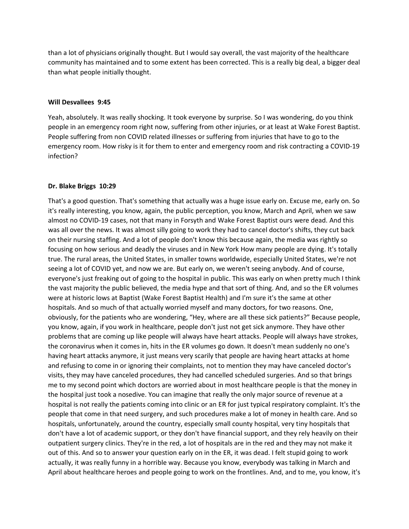than a lot of physicians originally thought. But I would say overall, the vast majority of the healthcare community has maintained and to some extent has been corrected. This is a really big deal, a bigger deal than what people initially thought.

### **Will Desvallees 9:45**

Yeah, absolutely. It was really shocking. It took everyone by surprise. So I was wondering, do you think people in an emergency room right now, suffering from other injuries, or at least at Wake Forest Baptist. People suffering from non COVID related illnesses or suffering from injuries that have to go to the emergency room. How risky is it for them to enter and emergency room and risk contracting a COVID-19 infection?

### **Dr. Blake Briggs 10:29**

That's a good question. That's something that actually was a huge issue early on. Excuse me, early on. So it's really interesting, you know, again, the public perception, you know, March and April, when we saw almost no COVID-19 cases, not that many in Forsyth and Wake Forest Baptist ours were dead. And this was all over the news. It was almost silly going to work they had to cancel doctor's shifts, they cut back on their nursing staffing. And a lot of people don't know this because again, the media was rightly so focusing on how serious and deadly the viruses and in New York How many people are dying. It's totally true. The rural areas, the United States, in smaller towns worldwide, especially United States, we're not seeing a lot of COVID yet, and now we are. But early on, we weren't seeing anybody. And of course, everyone's just freaking out of going to the hospital in public. This was early on when pretty much I think the vast majority the public believed, the media hype and that sort of thing. And, and so the ER volumes were at historic lows at Baptist (Wake Forest Baptist Health) and I'm sure it's the same at other hospitals. And so much of that actually worried myself and many doctors, for two reasons. One, obviously, for the patients who are wondering, "Hey, where are all these sick patients?" Because people, you know, again, if you work in healthcare, people don't just not get sick anymore. They have other problems that are coming up like people will always have heart attacks. People will always have strokes, the coronavirus when it comes in, hits in the ER volumes go down. It doesn't mean suddenly no one's having heart attacks anymore, it just means very scarily that people are having heart attacks at home and refusing to come in or ignoring their complaints, not to mention they may have canceled doctor's visits, they may have canceled procedures, they had cancelled scheduled surgeries. And so that brings me to my second point which doctors are worried about in most healthcare people is that the money in the hospital just took a nosedive. You can imagine that really the only major source of revenue at a hospital is not really the patients coming into clinic or an ER for just typical respiratory complaint. It's the people that come in that need surgery, and such procedures make a lot of money in health care. And so hospitals, unfortunately, around the country, especially small county hospital, very tiny hospitals that don't have a lot of academic support, or they don't have financial support, and they rely heavily on their outpatient surgery clinics. They're in the red, a lot of hospitals are in the red and they may not make it out of this. And so to answer your question early on in the ER, it was dead. I felt stupid going to work actually, it was really funny in a horrible way. Because you know, everybody was talking in March and April about healthcare heroes and people going to work on the frontlines. And, and to me, you know, it's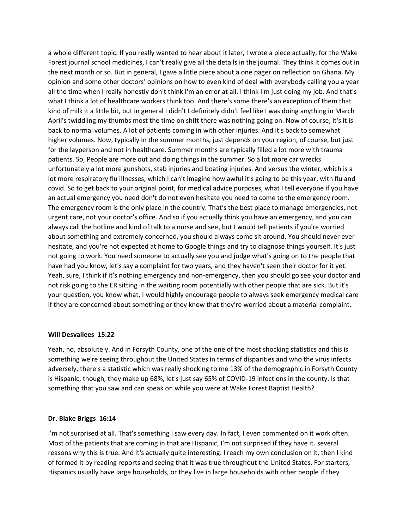a whole different topic. If you really wanted to hear about it later, I wrote a piece actually, for the Wake Forest journal school medicines, I can't really give all the details in the journal. They think it comes out in the next month or so. But in general, I gave a little piece about a one pager on reflection on Ghana. My opinion and some other doctors' opinions on how to even kind of deal with everybody calling you a year all the time when I really honestly don't think I'm an error at all. I think I'm just doing my job. And that's what I think a lot of healthcare workers think too. And there's some there's an exception of them that kind of milk it a little bit, but in general I didn't I definitely didn't feel like I was doing anything in March April's twiddling my thumbs most the time on shift there was nothing going on. Now of course, it's it is back to normal volumes. A lot of patients coming in with other injuries. And it's back to somewhat higher volumes. Now, typically in the summer months, just depends on your region, of course, but just for the layperson and not in healthcare. Summer months are typically filled a lot more with trauma patients. So, People are more out and doing things in the summer. So a lot more car wrecks unfortunately a lot more gunshots, stab injuries and boating injuries. And versus the winter, which is a lot more respiratory flu illnesses, which I can't imagine how awful it's going to be this year, with flu and covid. So to get back to your original point, for medical advice purposes, what I tell everyone if you have an actual emergency you need don't do not even hesitate you need to come to the emergency room. The emergency room is the only place in the country. That's the best place to manage emergencies, not urgent care, not your doctor's office. And so if you actually think you have an emergency, and you can always call the hotline and kind of talk to a nurse and see, but I would tell patients if you're worried about something and extremely concerned, you should always come sit around. You should never ever hesitate, and you're not expected at home to Google things and try to diagnose things yourself. It's just not going to work. You need someone to actually see you and judge what's going on to the people that have had you know, let's say a complaint for two years, and they haven't seen their doctor for it yet. Yeah, sure, I think if it's nothing emergency and non-emergency, then you should go see your doctor and not risk going to the ER sitting in the waiting room potentially with other people that are sick. But it's your question, you know what, I would highly encourage people to always seek emergency medical care if they are concerned about something or they know that they're worried about a material complaint.

### **Will Desvallees 15:22**

Yeah, no, absolutely. And in Forsyth County, one of the one of the most shocking statistics and this is something we're seeing throughout the United States in terms of disparities and who the virus infects adversely, there's a statistic which was really shocking to me 13% of the demographic in Forsyth County is Hispanic, though, they make up 68%, let's just say 65% of COVID-19 infections in the county. Is that something that you saw and can speak on while you were at Wake Forest Baptist Health?

### **Dr. Blake Briggs 16:14**

I'm not surprised at all. That's something I saw every day. In fact, I even commented on it work often. Most of the patients that are coming in that are Hispanic, I'm not surprised if they have it. several reasons why this is true. And it's actually quite interesting. I reach my own conclusion on it, then I kind of formed it by reading reports and seeing that it was true throughout the United States. For starters, Hispanics usually have large households, or they live in large households with other people if they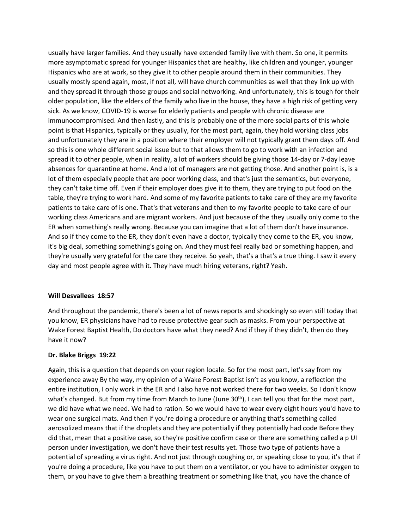usually have larger families. And they usually have extended family live with them. So one, it permits more asymptomatic spread for younger Hispanics that are healthy, like children and younger, younger Hispanics who are at work, so they give it to other people around them in their communities. They usually mostly spend again, most, if not all, will have church communities as well that they link up with and they spread it through those groups and social networking. And unfortunately, this is tough for their older population, like the elders of the family who live in the house, they have a high risk of getting very sick. As we know, COVID-19 is worse for elderly patients and people with chronic disease are immunocompromised. And then lastly, and this is probably one of the more social parts of this whole point is that Hispanics, typically or they usually, for the most part, again, they hold working class jobs and unfortunately they are in a position where their employer will not typically grant them days off. And so this is one whole different social issue but to that allows them to go to work with an infection and spread it to other people, when in reality, a lot of workers should be giving those 14-day or 7-day leave absences for quarantine at home. And a lot of managers are not getting those. And another point is, is a lot of them especially people that are poor working class, and that's just the semantics, but everyone, they can't take time off. Even if their employer does give it to them, they are trying to put food on the table, they're trying to work hard. And some of my favorite patients to take care of they are my favorite patients to take care of is one. That's that veterans and then to my favorite people to take care of our working class Americans and are migrant workers. And just because of the they usually only come to the ER when something's really wrong. Because you can imagine that a lot of them don't have insurance. And so if they come to the ER, they don't even have a doctor, typically they come to the ER, you know, it's big deal, something something's going on. And they must feel really bad or something happen, and they're usually very grateful for the care they receive. So yeah, that's a that's a true thing. I saw it every day and most people agree with it. They have much hiring veterans, right? Yeah.

# **Will Desvallees 18:57**

And throughout the pandemic, there's been a lot of news reports and shockingly so even still today that you know, ER physicians have had to reuse protective gear such as masks. From your perspective at Wake Forest Baptist Health, Do doctors have what they need? And if they if they didn't, then do they have it now?

### **Dr. Blake Briggs 19:22**

Again, this is a question that depends on your region locale. So for the most part, let's say from my experience away By the way, my opinion of a Wake Forest Baptist isn't as you know, a reflection the entire institution, I only work in the ER and I also have not worked there for two weeks. So I don't know what's changed. But from my time from March to June (June 30<sup>th</sup>), I can tell you that for the most part, we did have what we need. We had to ration. So we would have to wear every eight hours you'd have to wear one surgical mats. And then if you're doing a procedure or anything that's something called aerosolized means that if the droplets and they are potentially if they potentially had code Before they did that, mean that a positive case, so they're positive confirm case or there are something called a p UI person under investigation, we don't have their test results yet. Those two type of patients have a potential of spreading a virus right. And not just through coughing or, or speaking close to you, it's that if you're doing a procedure, like you have to put them on a ventilator, or you have to administer oxygen to them, or you have to give them a breathing treatment or something like that, you have the chance of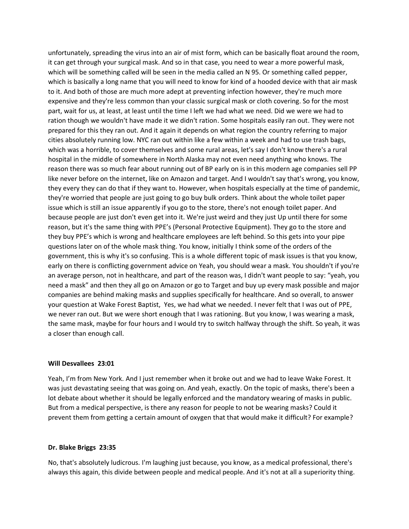unfortunately, spreading the virus into an air of mist form, which can be basically float around the room, it can get through your surgical mask. And so in that case, you need to wear a more powerful mask, which will be something called will be seen in the media called an N 95. Or something called pepper, which is basically a long name that you will need to know for kind of a hooded device with that air mask to it. And both of those are much more adept at preventing infection however, they're much more expensive and they're less common than your classic surgical mask or cloth covering. So for the most part, wait for us, at least, at least until the time I left we had what we need. Did we were we had to ration though we wouldn't have made it we didn't ration. Some hospitals easily ran out. They were not prepared for this they ran out. And it again it depends on what region the country referring to major cities absolutely running low. NYC ran out within like a few within a week and had to use trash bags, which was a horrible, to cover themselves and some rural areas, let's say I don't know there's a rural hospital in the middle of somewhere in North Alaska may not even need anything who knows. The reason there was so much fear about running out of BP early on is in this modern age companies sell PP like never before on the internet, like on Amazon and target. And I wouldn't say that's wrong, you know, they every they can do that if they want to. However, when hospitals especially at the time of pandemic, they're worried that people are just going to go buy bulk orders. Think about the whole toilet paper issue which is still an issue apparently if you go to the store, there's not enough toilet paper. And because people are just don't even get into it. We're just weird and they just Up until there for some reason, but it's the same thing with PPE's (Personal Protective Equipment). They go to the store and they buy PPE's which is wrong and healthcare employees are left behind. So this gets into your pipe questions later on of the whole mask thing. You know, initially I think some of the orders of the government, this is why it's so confusing. This is a whole different topic of mask issues is that you know, early on there is conflicting government advice on Yeah, you should wear a mask. You shouldn't if you're an average person, not in healthcare, and part of the reason was, I didn't want people to say: "yeah, you need a mask" and then they all go on Amazon or go to Target and buy up every mask possible and major companies are behind making masks and supplies specifically for healthcare. And so overall, to answer your question at Wake Forest Baptist, Yes, we had what we needed. I never felt that I was out of PPE, we never ran out. But we were short enough that I was rationing. But you know, I was wearing a mask, the same mask, maybe for four hours and I would try to switch halfway through the shift. So yeah, it was a closer than enough call.

### **Will Desvallees 23:01**

Yeah, I'm from New York. And I just remember when it broke out and we had to leave Wake Forest. It was just devastating seeing that was going on. And yeah, exactly. On the topic of masks, there's been a lot debate about whether it should be legally enforced and the mandatory wearing of masks in public. But from a medical perspective, is there any reason for people to not be wearing masks? Could it prevent them from getting a certain amount of oxygen that that would make it difficult? For example?

#### **Dr. Blake Briggs 23:35**

No, that's absolutely ludicrous. I'm laughing just because, you know, as a medical professional, there's always this again, this divide between people and medical people. And it's not at all a superiority thing.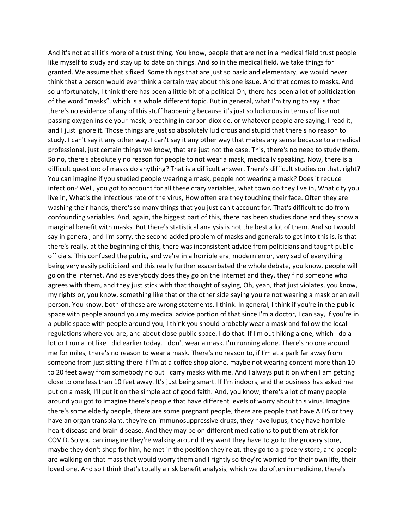And it's not at all it's more of a trust thing. You know, people that are not in a medical field trust people like myself to study and stay up to date on things. And so in the medical field, we take things for granted. We assume that's fixed. Some things that are just so basic and elementary, we would never think that a person would ever think a certain way about this one issue. And that comes to masks. And so unfortunately, I think there has been a little bit of a political Oh, there has been a lot of politicization of the word "masks", which is a whole different topic. But in general, what I'm trying to say is that there's no evidence of any of this stuff happening because it's just so ludicrous in terms of like not passing oxygen inside your mask, breathing in carbon dioxide, or whatever people are saying, I read it, and I just ignore it. Those things are just so absolutely ludicrous and stupid that there's no reason to study. I can't say it any other way. I can't say it any other way that makes any sense because to a medical professional, just certain things we know, that are just not the case. This, there's no need to study them. So no, there's absolutely no reason for people to not wear a mask, medically speaking. Now, there is a difficult question: of masks do anything? That is a difficult answer. There's difficult studies on that, right? You can imagine if you studied people wearing a mask, people not wearing a mask? Does it reduce infection? Well, you got to account for all these crazy variables, what town do they live in, What city you live in, What's the infectious rate of the virus, How often are they touching their face. Often they are washing their hands, there's so many things that you just can't account for. That's difficult to do from confounding variables. And, again, the biggest part of this, there has been studies done and they show a marginal benefit with masks. But there's statistical analysis is not the best a lot of them. And so I would say in general, and I'm sorry, the second added problem of masks and generals to get into this is, is that there's really, at the beginning of this, there was inconsistent advice from politicians and taught public officials. This confused the public, and we're in a horrible era, modern error, very sad of everything being very easily politicized and this really further exacerbated the whole debate, you know, people will go on the internet. And as everybody does they go on the internet and they, they find someone who agrees with them, and they just stick with that thought of saying, Oh, yeah, that just violates, you know, my rights or, you know, something like that or the other side saying you're not wearing a mask or an evil person. You know, both of those are wrong statements. I think. In general, I think if you're in the public space with people around you my medical advice portion of that since I'm a doctor, I can say, if you're in a public space with people around you, I think you should probably wear a mask and follow the local regulations where you are, and about close public space. I do that. If I'm out hiking alone, which I do a lot or I run a lot like I did earlier today. I don't wear a mask. I'm running alone. There's no one around me for miles, there's no reason to wear a mask. There's no reason to, if I'm at a park far away from someone from just sitting there if I'm at a coffee shop alone, maybe not wearing content more than 10 to 20 feet away from somebody no but I carry masks with me. And I always put it on when I am getting close to one less than 10 feet away. It's just being smart. If I'm indoors, and the business has asked me put on a mask, I'll put it on the simple act of good faith. And, you know, there's a lot of many people around you got to imagine there's people that have different levels of worry about this virus. Imagine there's some elderly people, there are some pregnant people, there are people that have AIDS or they have an organ transplant, they're on immunosuppressive drugs, they have lupus, they have horrible heart disease and brain disease. And they may be on different medications to put them at risk for COVID. So you can imagine they're walking around they want they have to go to the grocery store, maybe they don't shop for him, he met in the position they're at, they go to a grocery store, and people are walking on that mass that would worry them and I rightly so they're worried for their own life, their loved one. And so I think that's totally a risk benefit analysis, which we do often in medicine, there's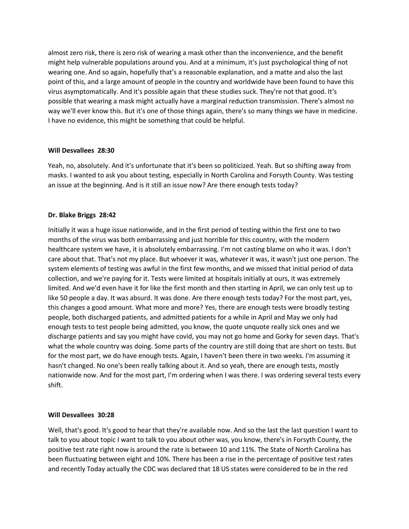almost zero risk, there is zero risk of wearing a mask other than the inconvenience, and the benefit might help vulnerable populations around you. And at a minimum, it's just psychological thing of not wearing one. And so again, hopefully that's a reasonable explanation, and a matte and also the last point of this, and a large amount of people in the country and worldwide have been found to have this virus asymptomatically. And it's possible again that these studies suck. They're not that good. It's possible that wearing a mask might actually have a marginal reduction transmission. There's almost no way we'll ever know this. But it's one of those things again, there's so many things we have in medicine. I have no evidence, this might be something that could be helpful.

## **Will Desvallees 28:30**

Yeah, no, absolutely. And it's unfortunate that it's been so politicized. Yeah. But so shifting away from masks. I wanted to ask you about testing, especially in North Carolina and Forsyth County. Was testing an issue at the beginning. And is it still an issue now? Are there enough tests today?

## **Dr. Blake Briggs 28:42**

Initially it was a huge issue nationwide, and in the first period of testing within the first one to two months of the virus was both embarrassing and just horrible for this country, with the modern healthcare system we have, it is absolutely embarrassing. I'm not casting blame on who it was. I don't care about that. That's not my place. But whoever it was, whatever it was, it wasn't just one person. The system elements of testing was awful in the first few months, and we missed that initial period of data collection, and we're paying for it. Tests were limited at hospitals initially at ours, it was extremely limited. And we'd even have it for like the first month and then starting in April, we can only test up to like 50 people a day. It was absurd. It was done. Are there enough tests today? For the most part, yes, this changes a good amount. What more and more? Yes, there are enough tests were broadly testing people, both discharged patients, and admitted patients for a while in April and May we only had enough tests to test people being admitted, you know, the quote unquote really sick ones and we discharge patients and say you might have covid, you may not go home and Gorky for seven days. That's what the whole country was doing. Some parts of the country are still doing that are short on tests. But for the most part, we do have enough tests. Again, I haven't been there in two weeks. I'm assuming it hasn't changed. No one's been really talking about it. And so yeah, there are enough tests, mostly nationwide now. And for the most part, I'm ordering when I was there. I was ordering several tests every shift.

## **Will Desvallees 30:28**

Well, that's good. It's good to hear that they're available now. And so the last the last question I want to talk to you about topic I want to talk to you about other was, you know, there's in Forsyth County, the positive test rate right now is around the rate is between 10 and 11%. The State of North Carolina has been fluctuating between eight and 10%. There has been a rise in the percentage of positive test rates and recently Today actually the CDC was declared that 18 US states were considered to be in the red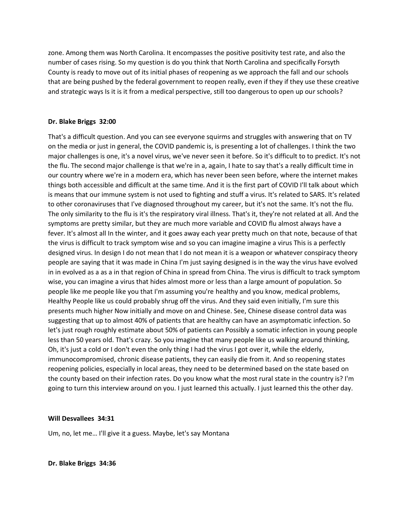zone. Among them was North Carolina. It encompasses the positive positivity test rate, and also the number of cases rising. So my question is do you think that North Carolina and specifically Forsyth County is ready to move out of its initial phases of reopening as we approach the fall and our schools that are being pushed by the federal government to reopen really, even if they if they use these creative and strategic ways Is it is it from a medical perspective, still too dangerous to open up our schools?

## **Dr. Blake Briggs 32:00**

That's a difficult question. And you can see everyone squirms and struggles with answering that on TV on the media or just in general, the COVID pandemic is, is presenting a lot of challenges. I think the two major challenges is one, it's a novel virus, we've never seen it before. So it's difficult to to predict. It's not the flu. The second major challenge is that we're in a, again, I hate to say that's a really difficult time in our country where we're in a modern era, which has never been seen before, where the internet makes things both accessible and difficult at the same time. And it is the first part of COVID I'll talk about which is means that our immune system is not used to fighting and stuff a virus. It's related to SARS. It's related to other coronaviruses that I've diagnosed throughout my career, but it's not the same. It's not the flu. The only similarity to the flu is it's the respiratory viral illness. That's it, they're not related at all. And the symptoms are pretty similar, but they are much more variable and COVID flu almost always have a fever. It's almost all In the winter, and it goes away each year pretty much on that note, because of that the virus is difficult to track symptom wise and so you can imagine imagine a virus This is a perfectly designed virus. In design I do not mean that I do not mean it is a weapon or whatever conspiracy theory people are saying that it was made in China I'm just saying designed is in the way the virus have evolved in in evolved as a as a in that region of China in spread from China. The virus is difficult to track symptom wise, you can imagine a virus that hides almost more or less than a large amount of population. So people like me people like you that I'm assuming you're healthy and you know, medical problems, Healthy People like us could probably shrug off the virus. And they said even initially, I'm sure this presents much higher Now initially and move on and Chinese. See, Chinese disease control data was suggesting that up to almost 40% of patients that are healthy can have an asymptomatic infection. So let's just rough roughly estimate about 50% of patients can Possibly a somatic infection in young people less than 50 years old. That's crazy. So you imagine that many people like us walking around thinking, Oh, it's just a cold or I don't even the only thing I had the virus I got over it, while the elderly, immunocompromised, chronic disease patients, they can easily die from it. And so reopening states reopening policies, especially in local areas, they need to be determined based on the state based on the county based on their infection rates. Do you know what the most rural state in the country is? I'm going to turn this interview around on you. I just learned this actually. I just learned this the other day.

# **Will Desvallees 34:31**

Um, no, let me… I'll give it a guess. Maybe, let's say Montana

**Dr. Blake Briggs 34:36**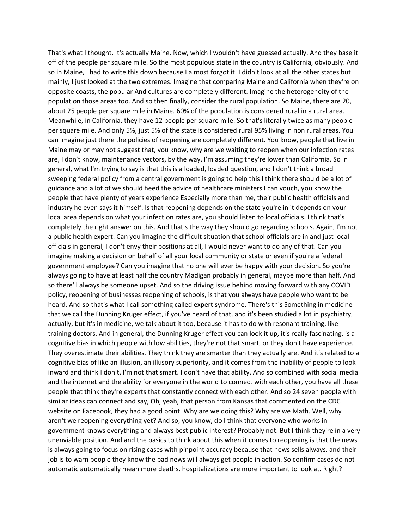That's what I thought. It's actually Maine. Now, which I wouldn't have guessed actually. And they base it off of the people per square mile. So the most populous state in the country is California, obviously. And so in Maine, I had to write this down because I almost forgot it. I didn't look at all the other states but mainly, I just looked at the two extremes. Imagine that comparing Maine and California when they're on opposite coasts, the popular And cultures are completely different. Imagine the heterogeneity of the population those areas too. And so then finally, consider the rural population. So Maine, there are 20, about 25 people per square mile in Maine. 60% of the population is considered rural in a rural area. Meanwhile, in California, they have 12 people per square mile. So that's literally twice as many people per square mile. And only 5%, just 5% of the state is considered rural 95% living in non rural areas. You can imagine just there the policies of reopening are completely different. You know, people that live in Maine may or may not suggest that, you know, why are we waiting to reopen when our infection rates are, I don't know, maintenance vectors, by the way, I'm assuming they're lower than California. So in general, what I'm trying to say is that this is a loaded, loaded question, and I don't think a broad sweeping federal policy from a central government is going to help this I think there should be a lot of guidance and a lot of we should heed the advice of healthcare ministers I can vouch, you know the people that have plenty of years experience Especially more than me, their public health officials and industry he even says it himself. Is that reopening depends on the state you're in it depends on your local area depends on what your infection rates are, you should listen to local officials. I think that's completely the right answer on this. And that's the way they should go regarding schools. Again, I'm not a public health expert. Can you imagine the difficult situation that school officials are in and just local officials in general, I don't envy their positions at all, I would never want to do any of that. Can you imagine making a decision on behalf of all your local community or state or even if you're a federal government employee? Can you imagine that no one will ever be happy with your decision. So you're always going to have at least half the country Madigan probably in general, maybe more than half. And so there'll always be someone upset. And so the driving issue behind moving forward with any COVID policy, reopening of businesses reopening of schools, is that you always have people who want to be heard. And so that's what I call something called expert syndrome. There's this Something in medicine that we call the Dunning Kruger effect, if you've heard of that, and it's been studied a lot in psychiatry, actually, but it's in medicine, we talk about it too, because it has to do with resonant training, like training doctors. And in general, the Dunning Kruger effect you can look it up, it's really fascinating, is a cognitive bias in which people with low abilities, they're not that smart, or they don't have experience. They overestimate their abilities. They think they are smarter than they actually are. And it's related to a cognitive bias of like an illusion, an illusory superiority, and it comes from the inability of people to look inward and think I don't, I'm not that smart. I don't have that ability. And so combined with social media and the internet and the ability for everyone in the world to connect with each other, you have all these people that think they're experts that constantly connect with each other. And so 24 seven people with similar ideas can connect and say, Oh, yeah, that person from Kansas that commented on the CDC website on Facebook, they had a good point. Why are we doing this? Why are we Math. Well, why aren't we reopening everything yet? And so, you know, do I think that everyone who works in government knows everything and always best public interest? Probably not. But I think they're in a very unenviable position. And and the basics to think about this when it comes to reopening is that the news is always going to focus on rising cases with pinpoint accuracy because that news sells always, and their job is to warn people they know the bad news will always get people in action. So confirm cases do not automatic automatically mean more deaths. hospitalizations are more important to look at. Right?